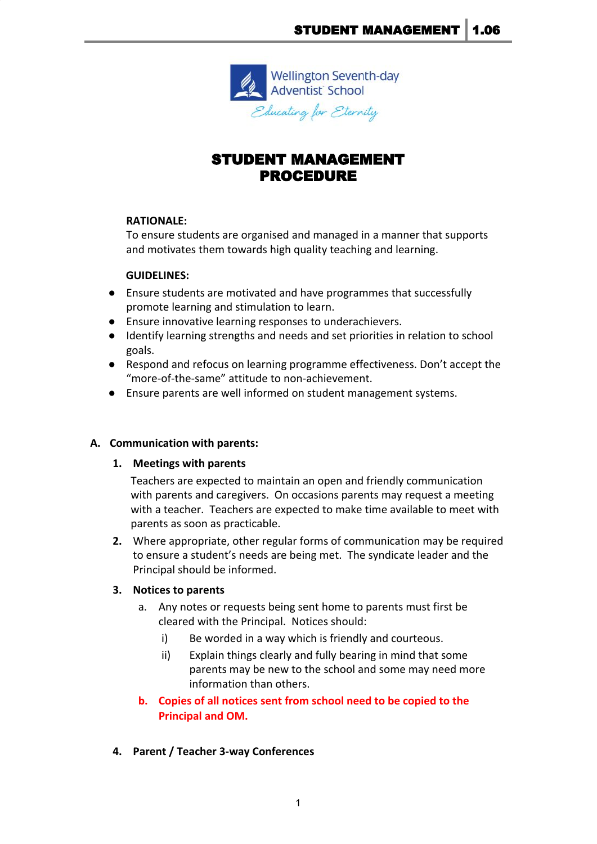

# STUDENT MANAGEMENT PROCEDURE

#### **RATIONALE:**

To ensure students are organised and managed in a manner that supports and motivates them towards high quality teaching and learning.

#### **GUIDELINES:**

- Ensure students are motivated and have programmes that successfully promote learning and stimulation to learn.
- Ensure innovative learning responses to underachievers.
- Identify learning strengths and needs and set priorities in relation to school goals.
- Respond and refocus on learning programme effectiveness. Don't accept the "more-of-the-same" attitude to non-achievement.
- Ensure parents are well informed on student management systems.

### **A. Communication with parents:**

**1. Meetings with parents**

Teachers are expected to maintain an open and friendly communication with parents and caregivers. On occasions parents may request a meeting with a teacher. Teachers are expected to make time available to meet with parents as soon as practicable.

**2.** Where appropriate, other regular forms of communication may be required to ensure a student's needs are being met. The syndicate leader and the Principal should be informed.

### **3. Notices to parents**

- a. Any notes or requests being sent home to parents must first be cleared with the Principal. Notices should:
	- i) Be worded in a way which is friendly and courteous.
	- ii) Explain things clearly and fully bearing in mind that some parents may be new to the school and some may need more information than others.

# **b. Copies of all notices sent from school need to be copied to the Principal and OM.**

**4. Parent / Teacher 3-way Conferences**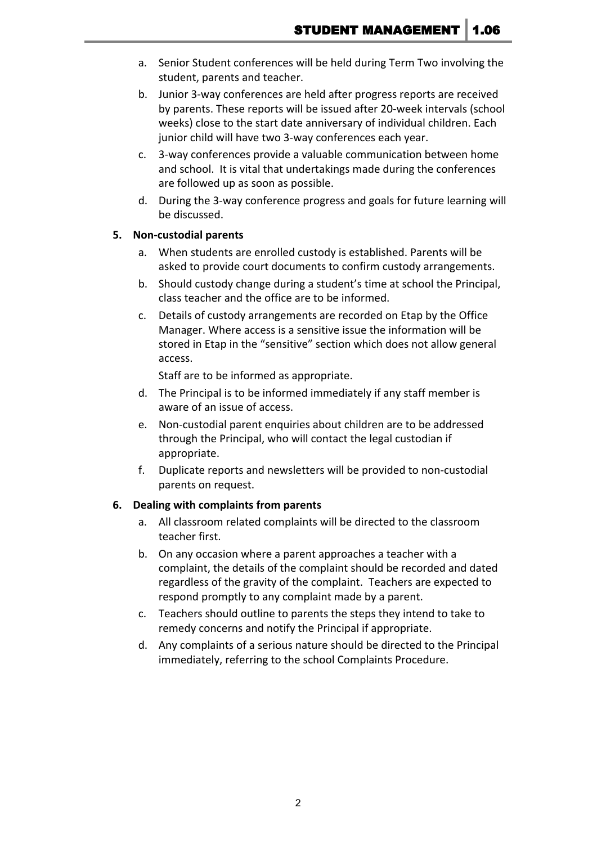- a. Senior Student conferences will be held during Term Two involving the student, parents and teacher.
- b. Junior 3-way conferences are held after progress reports are received by parents. These reports will be issued after 20-week intervals (school weeks) close to the start date anniversary of individual children. Each junior child will have two 3-way conferences each year.
- c. 3-way conferences provide a valuable communication between home and school. It is vital that undertakings made during the conferences are followed up as soon as possible.
- d. During the 3-way conference progress and goals for future learning will be discussed.

#### **5. Non-custodial parents**

- a. When students are enrolled custody is established. Parents will be asked to provide court documents to confirm custody arrangements.
- b. Should custody change during a student's time at school the Principal, class teacher and the office are to be informed.
- c. Details of custody arrangements are recorded on Etap by the Office Manager. Where access is a sensitive issue the information will be stored in Etap in the "sensitive" section which does not allow general access.

Staff are to be informed as appropriate.

- d. The Principal is to be informed immediately if any staff member is aware of an issue of access.
- e. Non-custodial parent enquiries about children are to be addressed through the Principal, who will contact the legal custodian if appropriate.
- f. Duplicate reports and newsletters will be provided to non-custodial parents on request.

### **6. Dealing with complaints from parents**

- a. All classroom related complaints will be directed to the classroom teacher first.
- b. On any occasion where a parent approaches a teacher with a complaint, the details of the complaint should be recorded and dated regardless of the gravity of the complaint. Teachers are expected to respond promptly to any complaint made by a parent.
- c. Teachers should outline to parents the steps they intend to take to remedy concerns and notify the Principal if appropriate.
- d. Any complaints of a serious nature should be directed to the Principal immediately, referring to the school Complaints Procedure.